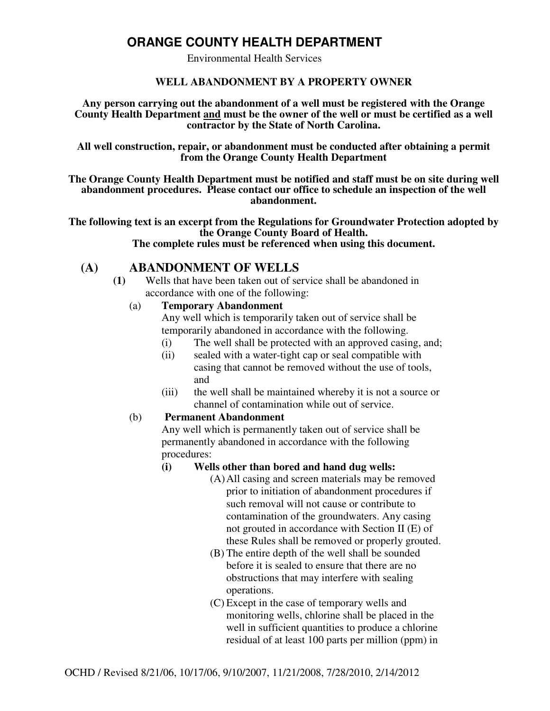# **ORANGE COUNTY HEALTH DEPARTMENT**

Environmental Health Services

#### **WELL ABANDONMENT BY A PROPERTY OWNER**

**Any person carrying out the abandonment of a well must be registered with the Orange County Health Department and must be the owner of the well or must be certified as a well contractor by the State of North Carolina.** 

**All well construction, repair, or abandonment must be conducted after obtaining a permit from the Orange County Health Department** 

**The Orange County Health Department must be notified and staff must be on site during well abandonment procedures. Please contact our office to schedule an inspection of the well abandonment.** 

**The following text is an excerpt from the Regulations for Groundwater Protection adopted by the Orange County Board of Health. The complete rules must be referenced when using this document.** 

## **(A) ABANDONMENT OF WELLS**

**(1)** Wells that have been taken out of service shall be abandoned in accordance with one of the following:

#### (a) **Temporary Abandonment**

Any well which is temporarily taken out of service shall be temporarily abandoned in accordance with the following.

- (i) The well shall be protected with an approved casing, and;
- (ii) sealed with a water-tight cap or seal compatible with casing that cannot be removed without the use of tools, and
- (iii) the well shall be maintained whereby it is not a source or channel of contamination while out of service.

#### (b) **Permanent Abandonment**

Any well which is permanently taken out of service shall be permanently abandoned in accordance with the following procedures:

#### **(i) Wells other than bored and hand dug wells:**

- (A)All casing and screen materials may be removed prior to initiation of abandonment procedures if such removal will not cause or contribute to contamination of the groundwaters. Any casing not grouted in accordance with Section II (E) of these Rules shall be removed or properly grouted.
- (B) The entire depth of the well shall be sounded before it is sealed to ensure that there are no obstructions that may interfere with sealing operations.
- (C) Except in the case of temporary wells and monitoring wells, chlorine shall be placed in the well in sufficient quantities to produce a chlorine residual of at least 100 parts per million (ppm) in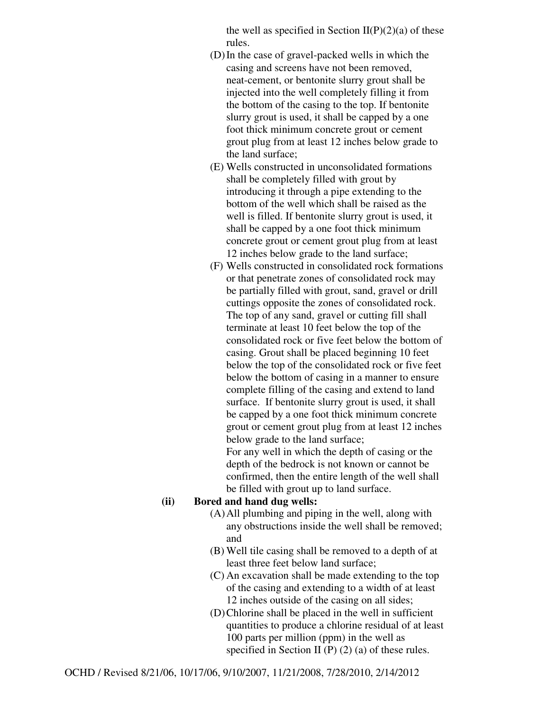the well as specified in Section  $II(P)(2)(a)$  of these rules.

- (D)In the case of gravel-packed wells in which the casing and screens have not been removed, neat-cement, or bentonite slurry grout shall be injected into the well completely filling it from the bottom of the casing to the top. If bentonite slurry grout is used, it shall be capped by a one foot thick minimum concrete grout or cement grout plug from at least 12 inches below grade to the land surface;
- (E) Wells constructed in unconsolidated formations shall be completely filled with grout by introducing it through a pipe extending to the bottom of the well which shall be raised as the well is filled. If bentonite slurry grout is used, it shall be capped by a one foot thick minimum concrete grout or cement grout plug from at least 12 inches below grade to the land surface;
- (F) Wells constructed in consolidated rock formations or that penetrate zones of consolidated rock may be partially filled with grout, sand, gravel or drill cuttings opposite the zones of consolidated rock. The top of any sand, gravel or cutting fill shall terminate at least 10 feet below the top of the consolidated rock or five feet below the bottom of casing. Grout shall be placed beginning 10 feet below the top of the consolidated rock or five feet below the bottom of casing in a manner to ensure complete filling of the casing and extend to land surface. If bentonite slurry grout is used, it shall be capped by a one foot thick minimum concrete grout or cement grout plug from at least 12 inches below grade to the land surface;

For any well in which the depth of casing or the depth of the bedrock is not known or cannot be confirmed, then the entire length of the well shall be filled with grout up to land surface.

#### **(ii) Bored and hand dug wells:**

- (A)All plumbing and piping in the well, along with any obstructions inside the well shall be removed; and
- (B) Well tile casing shall be removed to a depth of at least three feet below land surface;
- (C) An excavation shall be made extending to the top of the casing and extending to a width of at least 12 inches outside of the casing on all sides;
- (D)Chlorine shall be placed in the well in sufficient quantities to produce a chlorine residual of at least 100 parts per million (ppm) in the well as specified in Section II (P) (2) (a) of these rules.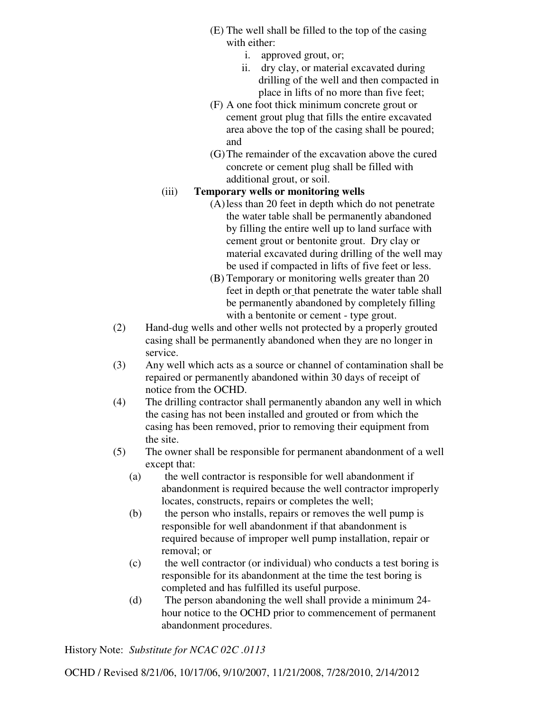- (E) The well shall be filled to the top of the casing with either:
	- i. approved grout, or;
	- ii. dry clay, or material excavated during drilling of the well and then compacted in place in lifts of no more than five feet;
- (F) A one foot thick minimum concrete grout or cement grout plug that fills the entire excavated area above the top of the casing shall be poured; and
- (G)The remainder of the excavation above the cured concrete or cement plug shall be filled with additional grout, or soil.

### (iii) **Temporary wells or monitoring wells**

- (A)less than 20 feet in depth which do not penetrate the water table shall be permanently abandoned by filling the entire well up to land surface with cement grout or bentonite grout. Dry clay or material excavated during drilling of the well may be used if compacted in lifts of five feet or less.
- (B) Temporary or monitoring wells greater than 20 feet in depth or that penetrate the water table shall be permanently abandoned by completely filling with a bentonite or cement - type grout.
- (2) Hand-dug wells and other wells not protected by a properly grouted casing shall be permanently abandoned when they are no longer in service.
- (3) Any well which acts as a source or channel of contamination shall be repaired or permanently abandoned within 30 days of receipt of notice from the OCHD.
- (4) The drilling contractor shall permanently abandon any well in which the casing has not been installed and grouted or from which the casing has been removed, prior to removing their equipment from the site.
- (5) The owner shall be responsible for permanent abandonment of a well except that:
	- (a) the well contractor is responsible for well abandonment if abandonment is required because the well contractor improperly locates, constructs, repairs or completes the well;
	- (b) the person who installs, repairs or removes the well pump is responsible for well abandonment if that abandonment is required because of improper well pump installation, repair or removal; or
	- (c) the well contractor (or individual) who conducts a test boring is responsible for its abandonment at the time the test boring is completed and has fulfilled its useful purpose.
	- (d) The person abandoning the well shall provide a minimum 24 hour notice to the OCHD prior to commencement of permanent abandonment procedures.

History Note: *Substitute for NCAC 02C .0113*

OCHD / Revised 8/21/06, 10/17/06, 9/10/2007, 11/21/2008, 7/28/2010, 2/14/2012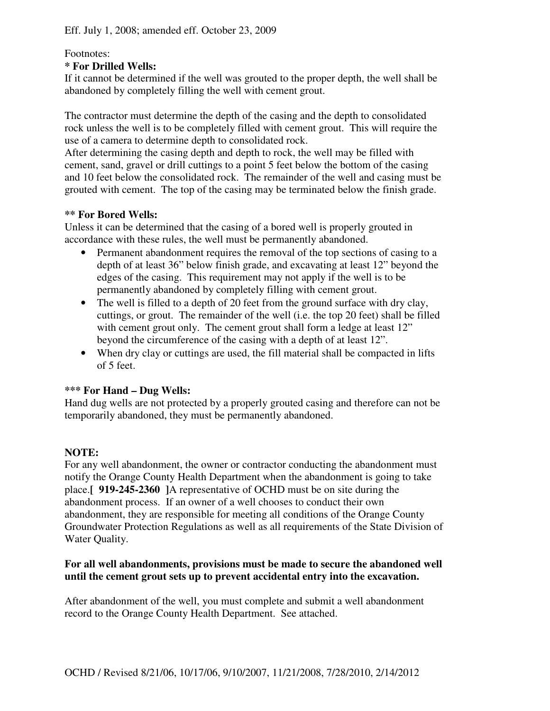## Footnotes:

### **\* For Drilled Wells:**

If it cannot be determined if the well was grouted to the proper depth, the well shall be abandoned by completely filling the well with cement grout.

The contractor must determine the depth of the casing and the depth to consolidated rock unless the well is to be completely filled with cement grout. This will require the use of a camera to determine depth to consolidated rock.

After determining the casing depth and depth to rock, the well may be filled with cement, sand, gravel or drill cuttings to a point 5 feet below the bottom of the casing and 10 feet below the consolidated rock. The remainder of the well and casing must be grouted with cement. The top of the casing may be terminated below the finish grade.

### **\*\* For Bored Wells:**

Unless it can be determined that the casing of a bored well is properly grouted in accordance with these rules, the well must be permanently abandoned.

- Permanent abandonment requires the removal of the top sections of casing to a depth of at least 36" below finish grade, and excavating at least 12" beyond the edges of the casing. This requirement may not apply if the well is to be permanently abandoned by completely filling with cement grout.
- The well is filled to a depth of 20 feet from the ground surface with dry clay, cuttings, or grout. The remainder of the well (i.e. the top 20 feet) shall be filled with cement grout only. The cement grout shall form a ledge at least 12" beyond the circumference of the casing with a depth of at least 12".
- When dry clay or cuttings are used, the fill material shall be compacted in lifts of 5 feet.

## **\*\*\* For Hand – Dug Wells:**

Hand dug wells are not protected by a properly grouted casing and therefore can not be temporarily abandoned, they must be permanently abandoned.

## **NOTE:**

For any well abandonment, the owner or contractor conducting the abandonment must notify the Orange County Health Department when the abandonment is going to take place.**[ 919-245-2360 ]**A representative of OCHD must be on site during the abandonment process. If an owner of a well chooses to conduct their own abandonment, they are responsible for meeting all conditions of the Orange County Groundwater Protection Regulations as well as all requirements of the State Division of Water Quality.

### **For all well abandonments, provisions must be made to secure the abandoned well until the cement grout sets up to prevent accidental entry into the excavation.**

After abandonment of the well, you must complete and submit a well abandonment record to the Orange County Health Department. See attached.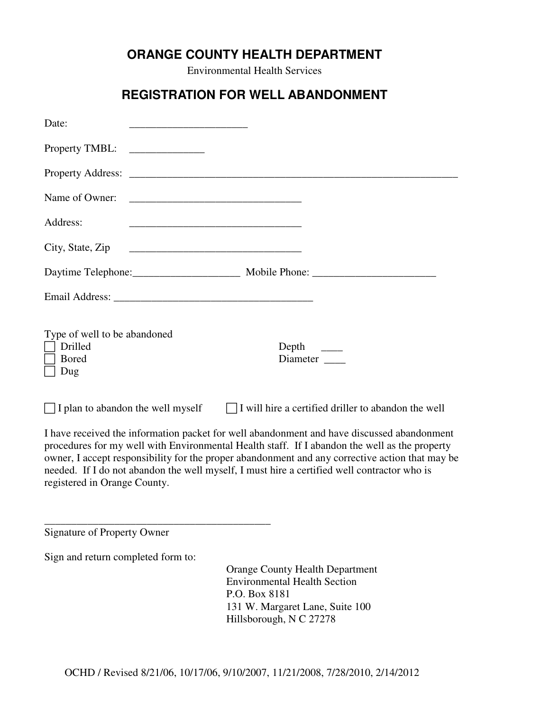# **ORANGE COUNTY HEALTH DEPARTMENT**

Environmental Health Services

# **REGISTRATION FOR WELL ABANDONMENT**

| Date:                                                                                                                                                                                                                                                                                                                                                                                                                         |                                                                                                                |
|-------------------------------------------------------------------------------------------------------------------------------------------------------------------------------------------------------------------------------------------------------------------------------------------------------------------------------------------------------------------------------------------------------------------------------|----------------------------------------------------------------------------------------------------------------|
| Property TMBL:                                                                                                                                                                                                                                                                                                                                                                                                                |                                                                                                                |
|                                                                                                                                                                                                                                                                                                                                                                                                                               |                                                                                                                |
| Name of Owner:                                                                                                                                                                                                                                                                                                                                                                                                                |                                                                                                                |
| Address:                                                                                                                                                                                                                                                                                                                                                                                                                      |                                                                                                                |
| City, State, Zip                                                                                                                                                                                                                                                                                                                                                                                                              |                                                                                                                |
|                                                                                                                                                                                                                                                                                                                                                                                                                               | Daytime Telephone: Mobile Phone: 2008. Mobile Phone: 2008. 2009. 2014. 2015. 2016. 2017. 2018. 2019. 2018. 201 |
|                                                                                                                                                                                                                                                                                                                                                                                                                               |                                                                                                                |
| Type of well to be abandoned<br>Drilled<br><b>Bored</b><br>Dug                                                                                                                                                                                                                                                                                                                                                                | Depth<br>Diameter                                                                                              |
| I plan to abandon the well myself                                                                                                                                                                                                                                                                                                                                                                                             | $\Box$ I will hire a certified driller to abandon the well                                                     |
| I have received the information packet for well abandonment and have discussed abandonment<br>procedures for my well with Environmental Health staff. If I abandon the well as the property<br>owner, I accept responsibility for the proper abandonment and any corrective action that may be<br>needed. If I do not abandon the well myself, I must hire a certified well contractor who is<br>registered in Orange County. |                                                                                                                |
| <b>Signature of Property Owner</b>                                                                                                                                                                                                                                                                                                                                                                                            |                                                                                                                |
| Sign and return completed form to:                                                                                                                                                                                                                                                                                                                                                                                            |                                                                                                                |
|                                                                                                                                                                                                                                                                                                                                                                                                                               | <b>Orange County Health Department</b><br><b>Environmental Health Section</b>                                  |

 P.O. Box 8181 131 W. Margaret Lane, Suite 100 Hillsborough, N C 27278